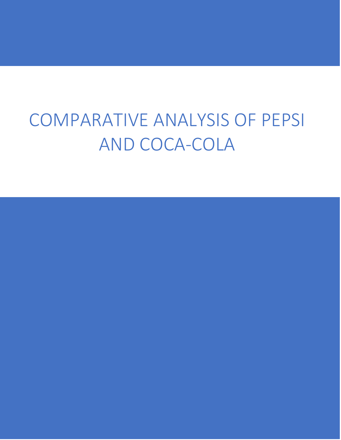# COMPARATIVE ANALYSIS OF PEPSI AND COCA-COLA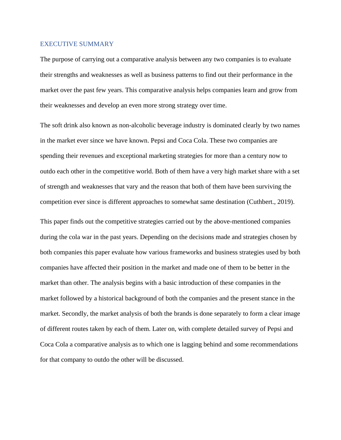#### <span id="page-1-0"></span>EXECUTIVE SUMMARY

The purpose of carrying out a comparative analysis between any two companies is to evaluate their strengths and weaknesses as well as business patterns to find out their performance in the market over the past few years. This comparative analysis helps companies learn and grow from their weaknesses and develop an even more strong strategy over time.

The soft drink also known as non-alcoholic beverage industry is dominated clearly by two names in the market ever since we have known. Pepsi and Coca Cola. These two companies are spending their revenues and exceptional marketing strategies for more than a century now to outdo each other in the competitive world. Both of them have a very high market share with a set of strength and weaknesses that vary and the reason that both of them have been surviving the competition ever since is different approaches to somewhat same destination (Cuthbert., 2019).

This paper finds out the competitive strategies carried out by the above-mentioned companies during the cola war in the past years. Depending on the decisions made and strategies chosen by both companies this paper evaluate how various frameworks and business strategies used by both companies have affected their position in the market and made one of them to be better in the market than other. The analysis begins with a basic introduction of these companies in the market followed by a historical background of both the companies and the present stance in the market. Secondly, the market analysis of both the brands is done separately to form a clear image of different routes taken by each of them. Later on, with complete detailed survey of Pepsi and Coca Cola a comparative analysis as to which one is lagging behind and some recommendations for that company to outdo the other will be discussed.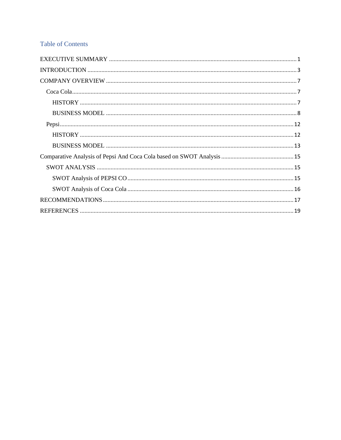## **Table of Contents**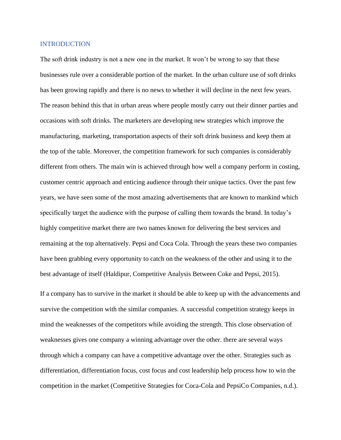#### <span id="page-3-0"></span>**INTRODUCTION**

The soft drink industry is not a new one in the market. It won't be wrong to say that these businesses rule over a considerable portion of the market. In the urban culture use of soft drinks has been growing rapidly and there is no news to whether it will decline in the next few years. The reason behind this that in urban areas where people mostly carry out their dinner parties and occasions with soft drinks. The marketers are developing new strategies which improve the manufacturing, marketing, transportation aspects of their soft drink business and keep them at the top of the table. Moreover, the competition framework for such companies is considerably different from others. The main win is achieved through how well a company perform in costing, customer centric approach and enticing audience through their unique tactics. Over the past few years, we have seen some of the most amazing advertisements that are known to mankind which specifically target the audience with the purpose of calling them towards the brand. In today's highly competitive market there are two names known for delivering the best services and remaining at the top alternatively. Pepsi and Coca Cola. Through the years these two companies have been grabbing every opportunity to catch on the weakness of the other and using it to the best advantage of itself (Haldipur, Competitive Analysis Between Coke and Pepsi, 2015).

If a company has to survive in the market it should be able to keep up with the advancements and survive the competition with the similar companies. A successful competition strategy keeps in mind the weaknesses of the competitors while avoiding the strength. This close observation of weaknesses gives one company a winning advantage over the other. there are several ways through which a company can have a competitive advantage over the other. Strategies such as differentiation, differentiation focus, cost focus and cost leadership help process how to win the competition in the market (Competitive Strategies for Coca-Cola and PepsiCo Companies, n.d.).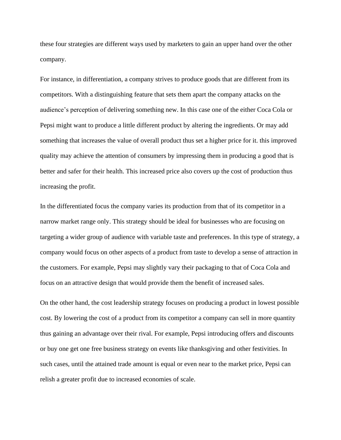these four strategies are different ways used by marketers to gain an upper hand over the other company.

For instance, in differentiation, a company strives to produce goods that are different from its competitors. With a distinguishing feature that sets them apart the company attacks on the audience's perception of delivering something new. In this case one of the either Coca Cola or Pepsi might want to produce a little different product by altering the ingredients. Or may add something that increases the value of overall product thus set a higher price for it. this improved quality may achieve the attention of consumers by impressing them in producing a good that is better and safer for their health. This increased price also covers up the cost of production thus increasing the profit.

In the differentiated focus the company varies its production from that of its competitor in a narrow market range only. This strategy should be ideal for businesses who are focusing on targeting a wider group of audience with variable taste and preferences. In this type of strategy, a company would focus on other aspects of a product from taste to develop a sense of attraction in the customers. For example, Pepsi may slightly vary their packaging to that of Coca Cola and focus on an attractive design that would provide them the benefit of increased sales.

On the other hand, the cost leadership strategy focuses on producing a product in lowest possible cost. By lowering the cost of a product from its competitor a company can sell in more quantity thus gaining an advantage over their rival. For example, Pepsi introducing offers and discounts or buy one get one free business strategy on events like thanksgiving and other festivities. In such cases, until the attained trade amount is equal or even near to the market price, Pepsi can relish a greater profit due to increased economies of scale.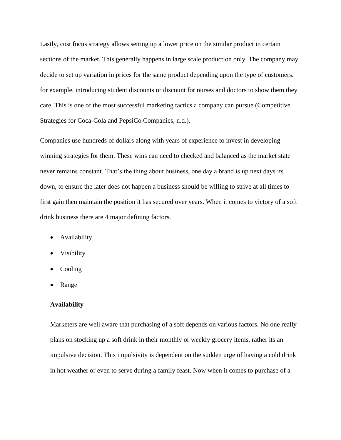Lastly, cost focus strategy allows setting up a lower price on the similar product in certain sections of the market. This generally happens in large scale production only. The company may decide to set up variation in prices for the same product depending upon the type of customers. for example, introducing student discounts or discount for nurses and doctors to show them they care. This is one of the most successful marketing tactics a company can pursue (Competitive Strategies for Coca-Cola and PepsiCo Companies, n.d.).

Companies use hundreds of dollars along with years of experience to invest in developing winning strategies for them. These wins can need to checked and balanced as the market state never remains constant. That's the thing about business, one day a brand is up next days its down, to ensure the later does not happen a business should be willing to strive at all times to first gain then maintain the position it has secured over years. When it comes to victory of a soft drink business there are 4 major defining factors.

- Availability
- Visibility
- Cooling
- Range

#### **Availability**

Marketers are well aware that purchasing of a soft depends on various factors. No one really plans on stocking up a soft drink in their monthly or weekly grocery items, rather its an impulsive decision. This impulsivity is dependent on the sudden urge of having a cold drink in hot weather or even to serve during a family feast. Now when it comes to purchase of a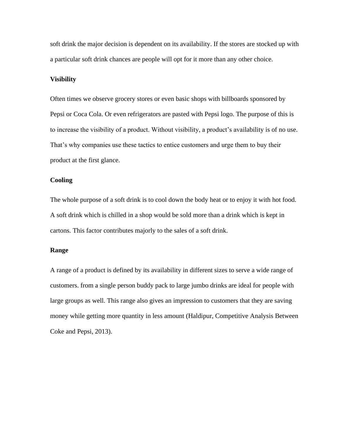soft drink the major decision is dependent on its availability. If the stores are stocked up with a particular soft drink chances are people will opt for it more than any other choice.

#### **Visibility**

Often times we observe grocery stores or even basic shops with billboards sponsored by Pepsi or Coca Cola. Or even refrigerators are pasted with Pepsi logo. The purpose of this is to increase the visibility of a product. Without visibility, a product's availability is of no use. That's why companies use these tactics to entice customers and urge them to buy their product at the first glance.

### **Cooling**

The whole purpose of a soft drink is to cool down the body heat or to enjoy it with hot food. A soft drink which is chilled in a shop would be sold more than a drink which is kept in cartons. This factor contributes majorly to the sales of a soft drink.

### **Range**

A range of a product is defined by its availability in different sizes to serve a wide range of customers. from a single person buddy pack to large jumbo drinks are ideal for people with large groups as well. This range also gives an impression to customers that they are saving money while getting more quantity in less amount (Haldipur, Competitive Analysis Between Coke and Pepsi, 2013).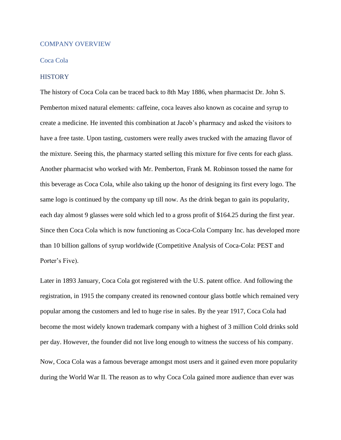#### <span id="page-7-0"></span>COMPANY OVERVIEW

#### <span id="page-7-1"></span>Coca Cola

#### <span id="page-7-2"></span>**HISTORY**

The history of Coca Cola can be traced back to 8th May 1886, when pharmacist Dr. John S. Pemberton mixed natural elements: caffeine, coca leaves also known as cocaine and syrup to create a medicine. He invented this combination at Jacob's pharmacy and asked the visitors to have a free taste. Upon tasting, customers were really awes trucked with the amazing flavor of the mixture. Seeing this, the pharmacy started selling this mixture for five cents for each glass. Another pharmacist who worked with Mr. Pemberton, Frank M. Robinson tossed the name for this beverage as Coca Cola, while also taking up the honor of designing its first every logo. The same logo is continued by the company up till now. As the drink began to gain its popularity, each day almost 9 glasses were sold which led to a gross profit of \$164.25 during the first year. Since then Coca Cola which is now functioning as Coca-Cola Company Inc. has developed more than 10 billion gallons of syrup worldwide (Competitive Analysis of Coca-Cola: PEST and Porter's Five).

Later in 1893 January, Coca Cola got registered with the U.S. patent office. And following the registration, in 1915 the company created its renowned contour glass bottle which remained very popular among the customers and led to huge rise in sales. By the year 1917, Coca Cola had become the most widely known trademark company with a highest of 3 million Cold drinks sold per day. However, the founder did not live long enough to witness the success of his company.

Now, Coca Cola was a famous beverage amongst most users and it gained even more popularity during the World War II. The reason as to why Coca Cola gained more audience than ever was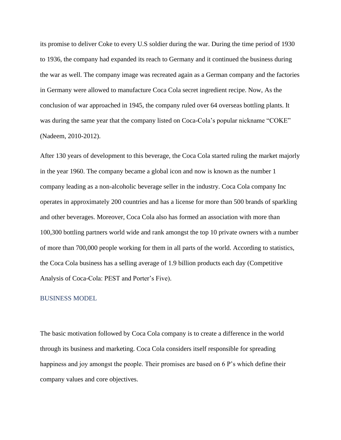its promise to deliver Coke to every U.S soldier during the war. During the time period of 1930 to 1936, the company had expanded its reach to Germany and it continued the business during the war as well. The company image was recreated again as a German company and the factories in Germany were allowed to manufacture Coca Cola secret ingredient recipe. Now, As the conclusion of war approached in 1945, the company ruled over 64 overseas bottling plants. It was during the same year that the company listed on Coca-Cola's popular nickname "COKE" (Nadeem, 2010-2012).

After 130 years of development to this beverage, the Coca Cola started ruling the market majorly in the year 1960. The company became a global icon and now is known as the number 1 company leading as a non-alcoholic beverage seller in the industry. Coca Cola company Inc operates in approximately 200 countries and has a license for more than 500 brands of sparkling and other beverages. Moreover, Coca Cola also has formed an association with more than 100,300 bottling partners world wide and rank amongst the top 10 private owners with a number of more than 700,000 people working for them in all parts of the world. According to statistics, the Coca Cola business has a selling average of 1.9 billion products each day (Competitive Analysis of Coca-Cola: PEST and Porter's Five).

#### <span id="page-8-0"></span>BUSINESS MODEL

The basic motivation followed by Coca Cola company is to create a difference in the world through its business and marketing. Coca Cola considers itself responsible for spreading happiness and joy amongst the people. Their promises are based on 6 P's which define their company values and core objectives.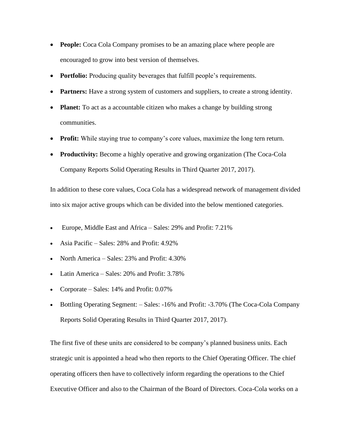- **People:** Coca Cola Company promises to be an amazing place where people are encouraged to grow into best version of themselves.
- **Portfolio:** Producing quality beverages that fulfill people's requirements.
- **Partners:** Have a strong system of customers and suppliers, to create a strong identity.
- **Planet:** To act as a accountable citizen who makes a change by building strong communities.
- **Profit:** While staying true to company's core values, maximize the long tern return.
- **Productivity:** Become a highly operative and growing organization (The Coca-Cola Company Reports Solid Operating Results in Third Quarter 2017, 2017).

In addition to these core values, Coca Cola has a widespread network of management divided into six major active groups which can be divided into the below mentioned categories.

- Europe, Middle East and Africa Sales: 29% and Profit: 7.21%
- Asia Pacific Sales: 28% and Profit: 4.92%
- North America Sales: 23% and Profit: 4.30%
- Latin America Sales: 20% and Profit: 3.78%
- Corporate Sales: 14% and Profit: 0.07%
- Bottling Operating Segment: Sales: -16% and Profit: -3.70% (The Coca-Cola Company Reports Solid Operating Results in Third Quarter 2017, 2017).

The first five of these units are considered to be company's planned business units. Each strategic unit is appointed a head who then reports to the Chief Operating Officer. The chief operating officers then have to collectively inform regarding the operations to the Chief Executive Officer and also to the Chairman of the Board of Directors. Coca-Cola works on a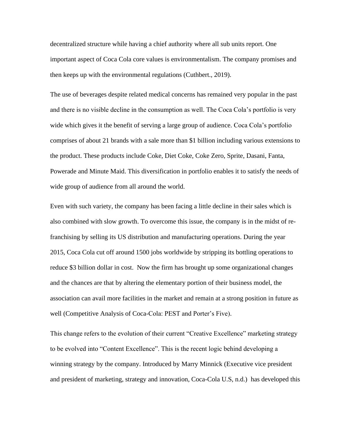decentralized structure while having a chief authority where all sub units report. One important aspect of Coca Cola core values is environmentalism. The company promises and then keeps up with the environmental regulations (Cuthbert., 2019).

The use of beverages despite related medical concerns has remained very popular in the past and there is no visible decline in the consumption as well. The Coca Cola's portfolio is very wide which gives it the benefit of serving a large group of audience. Coca Cola's portfolio comprises of about 21 brands with a sale more than \$1 billion including various extensions to the product. These products include Coke, Diet Coke, Coke Zero, Sprite, Dasani, Fanta, Powerade and Minute Maid. This diversification in portfolio enables it to satisfy the needs of wide group of audience from all around the world.

Even with such variety, the company has been facing a little decline in their sales which is also combined with slow growth. To overcome this issue, the company is in the midst of refranchising by selling its US distribution and manufacturing operations. During the year 2015, Coca Cola cut off around 1500 jobs worldwide by stripping its bottling operations to reduce \$3 billion dollar in cost. Now the firm has brought up some organizational changes and the chances are that by altering the elementary portion of their business model, the association can avail more facilities in the market and remain at a strong position in future as well (Competitive Analysis of Coca-Cola: PEST and Porter's Five).

This change refers to the evolution of their current "Creative Excellence" marketing strategy to be evolved into "Content Excellence". This is the recent logic behind developing a winning strategy by the company. Introduced by Marry Minnick (Executive vice president and president of marketing, strategy and innovation, Coca-Cola U.S, n.d.) has developed this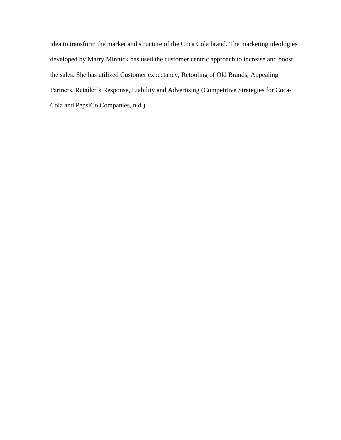idea to transform the market and structure of the Coca Cola brand. The marketing ideologies developed by Marry Minnick has used the customer centric approach to increase and boost the sales. She has utilized Customer expectancy, Retooling of Old Brands, Appealing Partners, Retailer's Response, Liability and Advertising (Competitive Strategies for Coca-Cola and PepsiCo Companies, n.d.).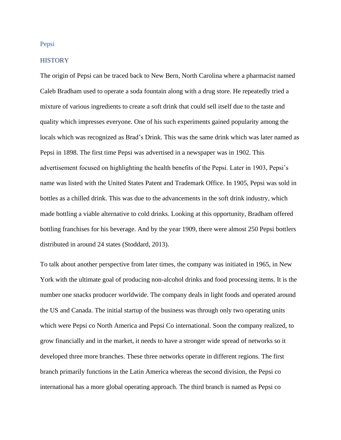### <span id="page-12-0"></span>Pepsi

#### <span id="page-12-1"></span>**HISTORY**

The origin of Pepsi can be traced back to New Bern, North Carolina where a pharmacist named Caleb Bradham used to operate a soda fountain along with a drug store. He repeatedly tried a mixture of various ingredients to create a soft drink that could sell itself due to the taste and quality which impresses everyone. One of his such experiments gained popularity among the locals which was recognized as Brad's Drink. This was the same drink which was later named as Pepsi in 1898. The first time Pepsi was advertised in a newspaper was in 1902. This advertisement focused on highlighting the health benefits of the Pepsi. Later in 1903, Pepsi's name was listed with the United States Patent and Trademark Office. In 1905, Pepsi was sold in bottles as a chilled drink. This was due to the advancements in the soft drink industry, which made bottling a viable alternative to cold drinks. Looking at this opportunity, Bradham offered bottling franchises for his beverage. And by the year 1909, there were almost 250 Pepsi bottlers distributed in around 24 states (Stoddard, 2013).

To talk about another perspective from later times, the company was initiated in 1965, in New York with the ultimate goal of producing non-alcohol drinks and food processing items. It is the number one snacks producer worldwide. The company deals in light foods and operated around the US and Canada. The initial startup of the business was through only two operating units which were Pepsi co North America and Pepsi Co international. Soon the company realized, to grow financially and in the market, it needs to have a stronger wide spread of networks so it developed three more branches. These three networks operate in different regions. The first branch primarily functions in the Latin America whereas the second division, the Pepsi co international has a more global operating approach. The third branch is named as Pepsi co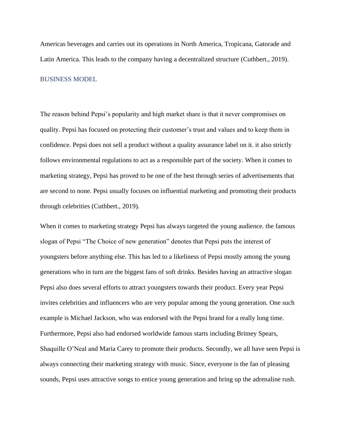Americas beverages and carries out its operations in North America, Tropicana, Gatorade and Latin America. This leads to the company having a decentralized structure (Cuthbert., 2019).

## <span id="page-13-0"></span>BUSINESS MODEL

The reason behind Pepsi's popularity and high market share is that it never compromises on quality. Pepsi has focused on protecting their customer's trust and values and to keep them in confidence. Pepsi does not sell a product without a quality assurance label on it. it also strictly follows environmental regulations to act as a responsible part of the society. When it comes to marketing strategy, Pepsi has proved to be one of the best through series of advertisements that are second to none. Pepsi usually focuses on influential marketing and promoting their products through celebrities (Cuthbert., 2019).

When it comes to marketing strategy Pepsi has always targeted the young audience. the famous slogan of Pepsi "The Choice of new generation" denotes that Pepsi puts the interest of youngsters before anything else. This has led to a likeliness of Pepsi mostly among the young generations who in turn are the biggest fans of soft drinks. Besides having an attractive slogan Pepsi also does several efforts to attract youngsters towards their product. Every year Pepsi invites celebrities and influencers who are very popular among the young generation. One such example is Michael Jackson, who was endorsed with the Pepsi brand for a really long time. Furthermore, Pepsi also had endorsed worldwide famous starts including Britney Spears, Shaquille O'Neal and Maria Carey to promote their products. Secondly, we all have seen Pepsi is always connecting their marketing strategy with music. Since, everyone is the fan of pleasing sounds, Pepsi uses attractive songs to entice young generation and bring up the adrenaline rush.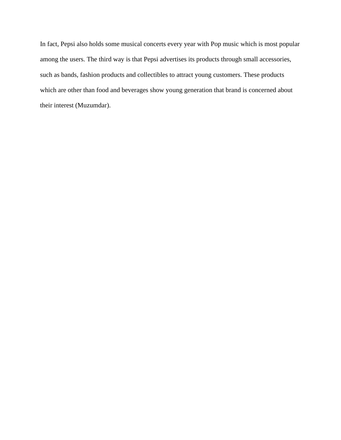In fact, Pepsi also holds some musical concerts every year with Pop music which is most popular among the users. The third way is that Pepsi advertises its products through small accessories, such as bands, fashion products and collectibles to attract young customers. These products which are other than food and beverages show young generation that brand is concerned about their interest (Muzumdar).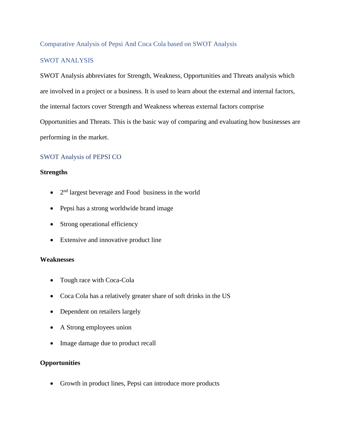## <span id="page-15-0"></span>Comparative Analysis of Pepsi And Coca Cola based on SWOT Analysis

## <span id="page-15-1"></span>SWOT ANALYSIS

SWOT Analysis abbreviates for Strength, Weakness, Opportunities and Threats analysis which are involved in a project or a business. It is used to learn about the external and internal factors, the internal factors cover Strength and Weakness whereas external factors comprise Opportunities and Threats. This is the basic way of comparing and evaluating how businesses are performing in the market.

## <span id="page-15-2"></span>SWOT Analysis of PEPSI CO

## **Strengths**

- $\bullet$   $2<sup>nd</sup>$  largest beverage and Food business in the world
- Pepsi has a strong worldwide brand image
- Strong operational efficiency
- Extensive and innovative product line

## **Weaknesses**

- Tough race with Coca-Cola
- Coca Cola has a relatively greater share of soft drinks in the US
- Dependent on retailers largely
- A Strong employees union
- Image damage due to product recall

## **Opportunities**

• Growth in product lines, Pepsi can introduce more products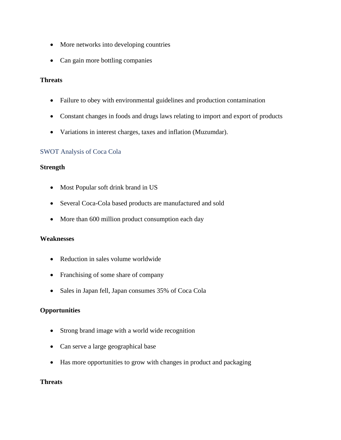- More networks into developing countries
- Can gain more bottling companies

## **Threats**

- Failure to obey with environmental guidelines and production contamination
- Constant changes in foods and drugs laws relating to import and export of products
- Variations in interest charges, taxes and inflation (Muzumdar).

## <span id="page-16-0"></span>SWOT Analysis of Coca Cola

## **Strength**

- Most Popular soft drink brand in US
- Several Coca-Cola based products are manufactured and sold
- More than 600 million product consumption each day

## **Weaknesses**

- Reduction in sales volume worldwide
- Franchising of some share of company
- Sales in Japan fell, Japan consumes 35% of Coca Cola

## **Opportunities**

- Strong brand image with a world wide recognition
- Can serve a large geographical base
- Has more opportunities to grow with changes in product and packaging

## **Threats**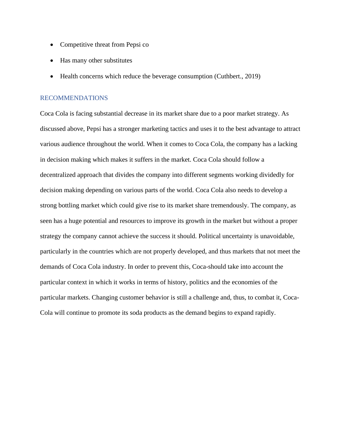- Competitive threat from Pepsi co
- Has many other substitutes
- Health concerns which reduce the beverage consumption (Cuthbert., 2019)

## <span id="page-17-0"></span>RECOMMENDATIONS

Coca Cola is facing substantial decrease in its market share due to a poor market strategy. As discussed above, Pepsi has a stronger marketing tactics and uses it to the best advantage to attract various audience throughout the world. When it comes to Coca Cola, the company has a lacking in decision making which makes it suffers in the market. Coca Cola should follow a decentralized approach that divides the company into different segments working dividedly for decision making depending on various parts of the world. Coca Cola also needs to develop a strong bottling market which could give rise to its market share tremendously. The company, as seen has a huge potential and resources to improve its growth in the market but without a proper strategy the company cannot achieve the success it should. Political uncertainty is unavoidable, particularly in the countries which are not properly developed, and thus markets that not meet the demands of Coca Cola industry. In order to prevent this, Coca-should take into account the particular context in which it works in terms of history, politics and the economies of the particular markets. Changing customer behavior is still a challenge and, thus, to combat it, Coca-Cola will continue to promote its soda products as the demand begins to expand rapidly.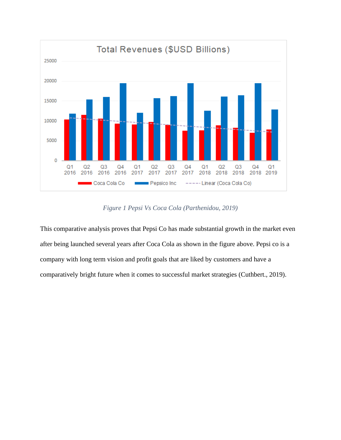

*Figure 1 Pepsi Vs Coca Cola (Parthenidou, 2019)*

This comparative analysis proves that Pepsi Co has made substantial growth in the market even after being launched several years after Coca Cola as shown in the figure above. Pepsi co is a company with long term vision and profit goals that are liked by customers and have a comparatively bright future when it comes to successful market strategies (Cuthbert., 2019).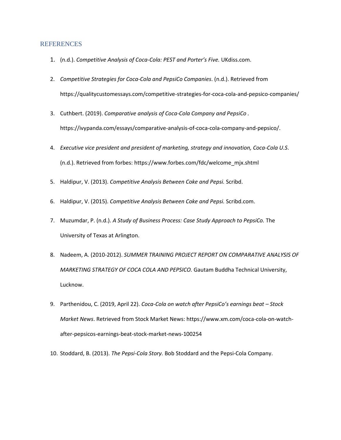#### <span id="page-19-0"></span>**REFERENCES**

- 1. (n.d.). *Competitive Analysis of Coca-Cola: PEST and Porter's Five.* UKdiss.com.
- 2. *Competitive Strategies for Coca-Cola and PepsiCo Companies*. (n.d.). Retrieved from https://qualitycustomessays.com/competitive-strategies-for-coca-cola-and-pepsico-companies/
- 3. Cuthbert. (2019). *Comparative analysis of Coca-Cola Company and PepsiCo .* https://ivypanda.com/essays/comparative-analysis-of-coca-cola-company-and-pepsico/.
- 4. *Executive vice president and president of marketing, strategy and innovation, Coca-Cola U.S*. (n.d.). Retrieved from forbes: https://www.forbes.com/fdc/welcome\_mjx.shtml
- 5. Haldipur, V. (2013). *Competitive Analysis Between Coke and Pepsi.* Scribd.
- 6. Haldipur, V. (2015). *Competitive Analysis Between Coke and Pepsi.* Scribd.com.
- 7. Muzumdar, P. (n.d.). *A Study of Business Process: Case Study Approach to PepsiCo.* The University of Texas at Arlington.
- 8. Nadeem, A. (2010-2012). *SUMMER TRAINING PROJECT REPORT ON COMPARATIVE ANALYSIS OF MARKETING STRATEGY OF COCA COLA AND PEPSICO.* Gautam Buddha Technical University, Lucknow.
- 9. Parthenidou, C. (2019, April 22). *Coca-Cola on watch after PepsiCo's earnings beat – Stock Market News*. Retrieved from Stock Market News: https://www.xm.com/coca-cola-on-watchafter-pepsicos-earnings-beat-stock-market-news-100254
- 10. Stoddard, B. (2013). *The Pepsi-Cola Story.* Bob Stoddard and the Pepsi-Cola Company.